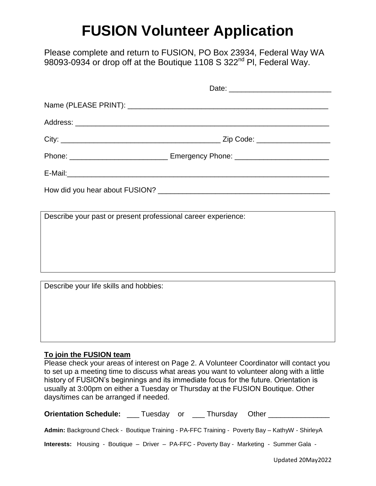# **FUSION Volunteer Application**

Please complete and return to FUSION, PO Box 23934, Federal Way WA 98093-0934 or drop off at the Boutique 1108 S 322<sup>nd</sup> Pl, Federal Way.

| Describe your past or present professional career experience: |  |  |  |
|---------------------------------------------------------------|--|--|--|
|                                                               |  |  |  |
|                                                               |  |  |  |
|                                                               |  |  |  |
| Describe your life skills and hobbies:                        |  |  |  |
|                                                               |  |  |  |
|                                                               |  |  |  |
|                                                               |  |  |  |

#### **To join the FUSION team**

Please check your areas of interest on Page 2. A Volunteer Coordinator will contact you to set up a meeting time to discuss what areas you want to volunteer along with a little history of FUSION's beginnings and its immediate focus for the future. Orientation is usually at 3:00pm on either a Tuesday or Thursday at the FUSION Boutique. Other days/times can be arranged if needed.

| <b>Orientation Schedule:</b>                                                                     | Tuesday or   Thursday Other |  |
|--------------------------------------------------------------------------------------------------|-----------------------------|--|
| Admin: Background Check - Boutique Training - PA-FFC Training - Poverty Bay - KathyW - ShirleyA  |                             |  |
| <b>Interests:</b> Housing - Boutique - Driver - PA-FFC - Poverty Bay - Marketing - Summer Gala - |                             |  |

Updated 20May2022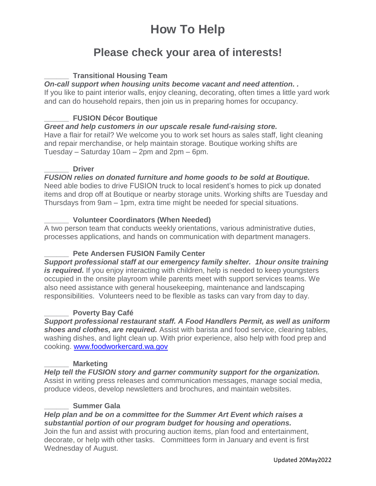# **How To Help**

### **Please check your area of interests!**

#### **\_\_\_\_\_\_ Transitional Housing Team**

#### *On-call support when housing units become vacant and need attention. .*

If you like to paint interior walls, enjoy cleaning, decorating, often times a little yard work and can do household repairs, then join us in preparing homes for occupancy.

#### **\_\_\_\_\_\_ FUSION Décor Boutique**

#### *Greet and help customers in our upscale resale fund-raising store.*

Have a flair for retail? We welcome you to work set hours as sales staff, light cleaning and repair merchandise, or help maintain storage. Boutique working shifts are Tuesday – Saturday 10am – 2pm and 2pm – 6pm.

#### **\_\_\_\_\_\_ Driver**

#### *FUSION relies on donated furniture and home goods to be sold at Boutique.*

Need able bodies to drive FUSION truck to local resident's homes to pick up donated items and drop off at Boutique or nearby storage units. Working shifts are Tuesday and Thursdays from 9am – 1pm, extra time might be needed for special situations.

#### **\_\_\_\_\_\_ Volunteer Coordinators (When Needed)**

A two person team that conducts weekly orientations, various administrative duties, processes applications, and hands on communication with department managers.

#### **\_\_\_\_\_\_ Pete Andersen FUSION Family Center**

*Support professional staff at our emergency family shelter. 1hour onsite training is required.* If you enjoy interacting with children, help is needed to keep youngsters occupied in the onsite playroom while parents meet with support services teams. We also need assistance with general housekeeping, maintenance and landscaping responsibilities. Volunteers need to be flexible as tasks can vary from day to day.

#### **\_\_\_\_\_\_ Poverty Bay Café**

*Support professional restaurant staff. A Food Handlers Permit, as well as uniform shoes and clothes, are required.* Assist with barista and food service, clearing tables, washing dishes, and light clean up. With prior experience, also help with food prep and cooking. [www.foodworkercard.wa.gov](http://www.foodworkercard.wa.gov/)

#### **\_\_\_\_\_\_ Marketing**

*Help tell the FUSION story and garner community support for the organization.* Assist in writing press releases and communication messages, manage social media, produce videos, develop newsletters and brochures, and maintain websites.

#### **\_\_\_\_\_\_ Summer Gala**

#### *Help plan and be on a committee for the Summer Art Event which raises a substantial portion of our program budget for housing and operations.*

Join the fun and assist with procuring auction items, plan food and entertainment, decorate, or help with other tasks. Committees form in January and event is first Wednesday of August.